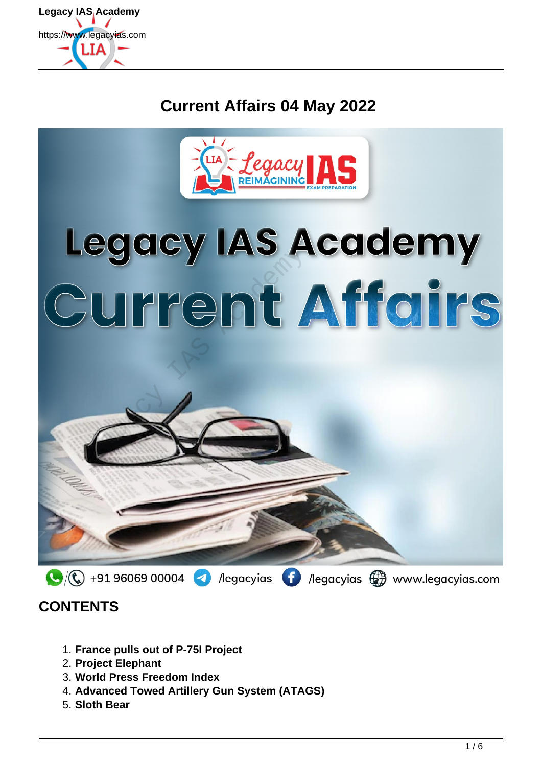

# **Current Affairs 04 May 2022**



# Legacy IAS Academy<br>Current Affairs



## **CONTENTS**

- 1. **France pulls out of P-75I Project**
- 2. **Project Elephant**
- 3. **World Press Freedom Index**
- 4. **Advanced Towed Artillery Gun System (ATAGS)**
- 5. **Sloth Bear**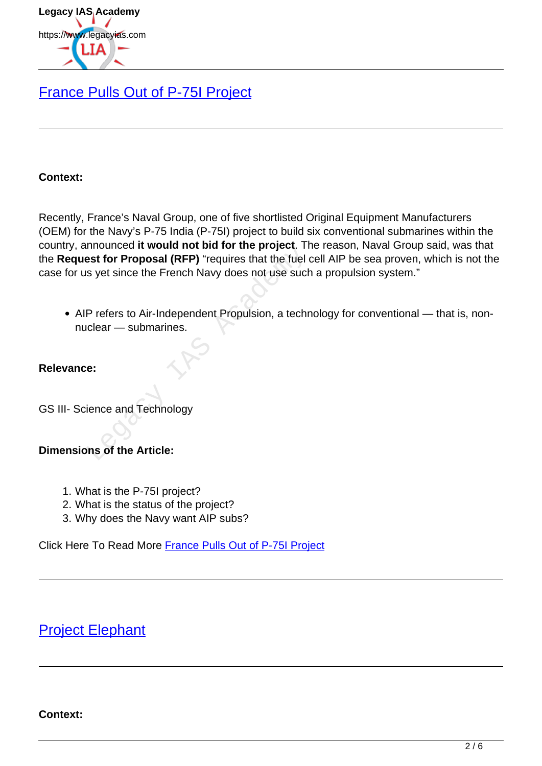

## [France Pulls Out of P-75I Project](https://www.legacyias.com/p-75i-project/)

#### **Context:**

Recently, France's Naval Group, one of five shortlisted Original Equipment Manufacturers (OEM) for the Navy's P-75 India (P-75I) project to build six conventional submarines within the country, announced **it would not bid for the project**. The reason, Naval Group said, was that the **Request for Proposal (RFP)** "requires that the fuel cell AIP be sea proven, which is not the case for us yet since the French Navy does not use such a propulsion system." misanced it would not bid for the project. The<br>st for Proposal (RFP) "requires that the fuel is yet since the French Navy does not use such<br>P refers to Air-Independent Propulsion, a technology<br>e:<br>e:<br>ience and Technology<br>ms

AIP refers to Air-Independent Propulsion, a technology for conventional — that is, nonnuclear — submarines.

#### **Relevance:**

GS III- Science and Technology

#### **Dimensions of the Article:**

- 1. What is the P-75I project?
- 2. What is the status of the project?
- 3. Why does the Navy want AIP subs?

Click Here To Read More France Pulls Out of P-75I Project

## Project Elephant

#### **Context:**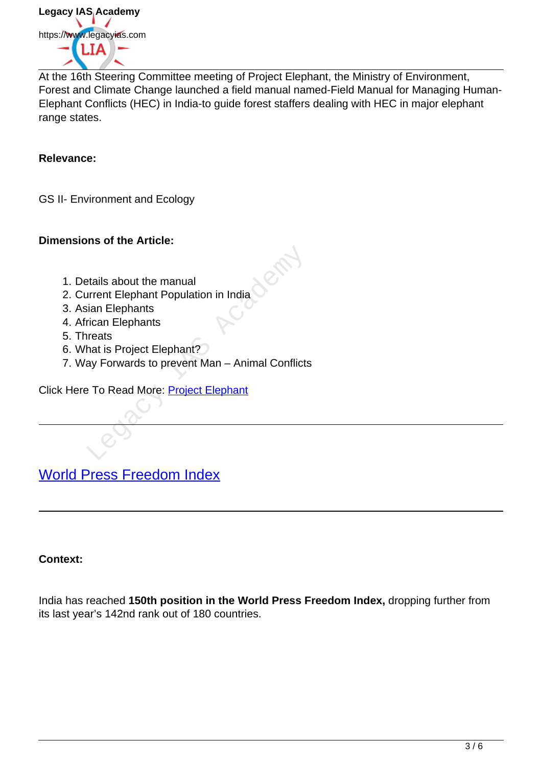

At the 16th Steering Committee meeting of Project Elephant, the Ministry of Environment, Forest and Climate Change launched a field manual named-Field Manual for Managing Human-Elephant Conflicts (HEC) in India-to guide forest staffers dealing with HEC in major elephant range states.

#### **Relevance:**

GS II- Environment and Ecology

#### **Dimensions of the Article:**

- 1. Details about the manual
- 2. Current Elephant Population in India
- 3. Asian Elephants
- 4. African Elephants
- 5. Threats
- 6. What is Project Elephant?
- 7. Way Forwards to prevent Man Animal Conflicts Example the manual<br>
Example phants<br>
Fican Elephants<br>
Fican Elephants<br>
Internation of the Man Academy<br>
Provent Man - Animal Conflicts<br>
Provent Man - Animal Conflicts<br>
Provent Man - Animal Conflicts<br>
Provent Elephant<br>
Proven

Click Here To Read More: Project Elephant

World Press Freedom Index

#### **Context:**

India has reached **150th position in the World Press Freedom Index,** dropping further from its last year's 142nd rank out of 180 countries.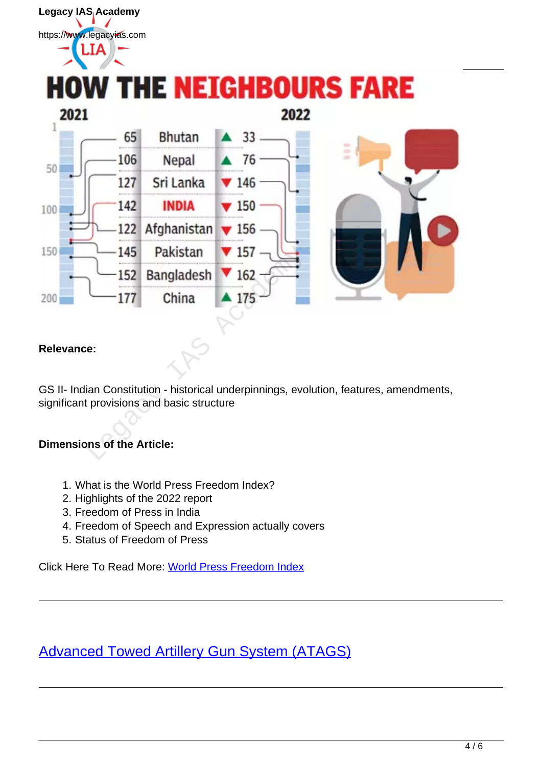# Legacy IAS Academy https://www.legacyias.com **HOW THE NEIGHBOURS FARE** 2021 2022  $\overline{1}$ 65 **Bhutan**  $33.$ 106 Nepal  $76<sup>°</sup>$  $50<sub>1</sub>$ 127 Sri Lanka  $\blacktriangledown$  146 142 **INDIA**  $\blacktriangledown$  150 100 122 Afghanistan  $\blacktriangledown$  156 150 145 Pakistan 157<br>152 Bangladesh 162<br>177 China 175<br>178 China 175<br>178 China 175<br>189 China 175<br>189 China 175<br>189 China 175<br>189 China 175<br>189 China 2013<br>189 China 2013<br>189 China 2013<br>189 China 2013<br>189 China 2013<br>189 China 201 200

## **Relevance:**

GS II- Indian Constitution - historical underpinnings, evolution, features, amendments, significant provisions and basic structure

## **Dimensions of the Article:**

- 1. What is the World Press Freedom Index?
- 2. Highlights of the 2022 report
- 3. Freedom of Press in India
- 4. Freedom of Speech and Expression actually covers
- 5. Status of Freedom of Press

Click Here To Read More: World Press Freedom Index

Advanced Towed Artillery Gun System (ATAGS)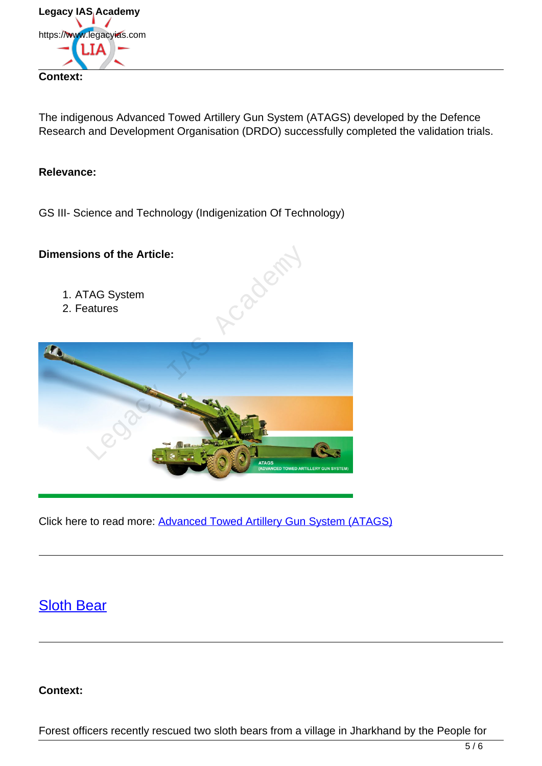

The indigenous Advanced Towed Artillery Gun System (ATAGS) developed by the Defence Research and Development Organisation (DRDO) successfully completed the validation trials.

#### **Relevance:**

GS III- Science and Technology (Indigenization Of Technology)

#### **Dimensions of the Article:**

- 1. ATAG System
- 2. Features



Click here to read more: Advanced Towed Artillery Gun System (ATAGS)

## Sloth Bear

**Context:**

Forest officers recently rescued two sloth bears from a village in Jharkhand by the People for